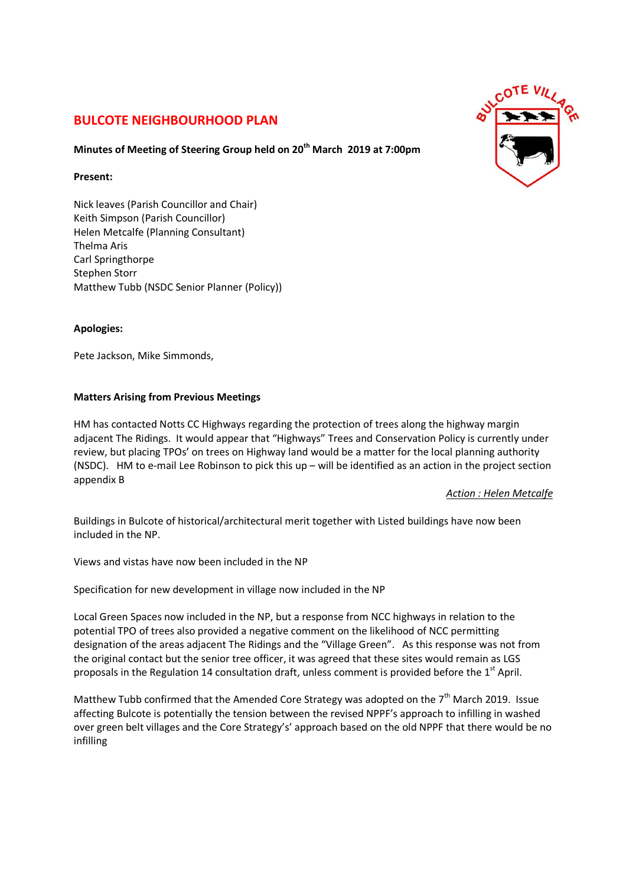# **BULCOTE NEIGHBOURHOOD PLAN**

## **Minutes of Meeting of Steering Group held on 20th March 2019 at 7:00pm**

#### **Present:**

Nick leaves (Parish Councillor and Chair) Keith Simpson (Parish Councillor) Helen Metcalfe (Planning Consultant) Thelma Aris Carl Springthorpe Stephen Storr Matthew Tubb (NSDC Senior Planner (Policy))

### **Apologies:**

Pete Jackson, Mike Simmonds,

### **Matters Arising from Previous Meetings**

HM has contacted Notts CC Highways regarding the protection of trees along the highway margin adjacent The Ridings. It would appear that "Highways" Trees and Conservation Policy is currently under review, but placing TPOs' on trees on Highway land would be a matter for the local planning authority (NSDC). HM to e-mail Lee Robinson to pick this up – will be identified as an action in the project section appendix B

*Action : Helen Metcalfe*

Buildings in Bulcote of historical/architectural merit together with Listed buildings have now been included in the NP.

Views and vistas have now been included in the NP

Specification for new development in village now included in the NP

Local Green Spaces now included in the NP, but a response from NCC highways in relation to the potential TPO of trees also provided a negative comment on the likelihood of NCC permitting designation of the areas adjacent The Ridings and the "Village Green". As this response was not from the original contact but the senior tree officer, it was agreed that these sites would remain as LGS proposals in the Regulation 14 consultation draft, unless comment is provided before the  $1<sup>st</sup>$  April.

Matthew Tubb confirmed that the Amended Core Strategy was adopted on the 7<sup>th</sup> March 2019. Issue affecting Bulcote is potentially the tension between the revised NPPF's approach to infilling in washed over green belt villages and the Core Strategy's' approach based on the old NPPF that there would be no infilling